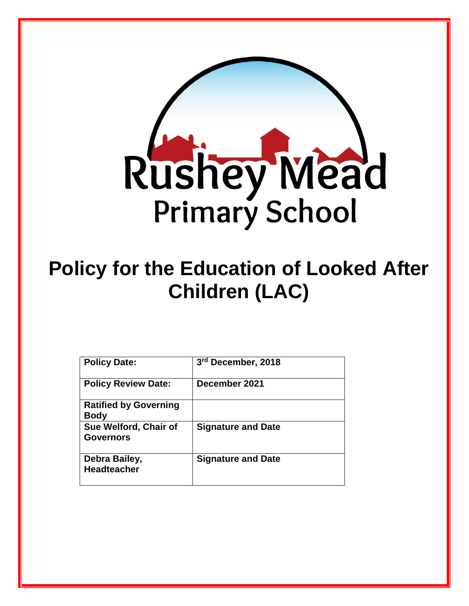

# **Policy for the Education of Looked After Children (LAC)**

| <b>Policy Date:</b>                         | 3rd December, 2018        |
|---------------------------------------------|---------------------------|
| <b>Policy Review Date:</b>                  | December 2021             |
| <b>Ratified by Governing</b><br><b>Body</b> |                           |
| Sue Welford, Chair of<br>Governors          | <b>Signature and Date</b> |
| Debra Bailey,<br><b>Headteacher</b>         | <b>Signature and Date</b> |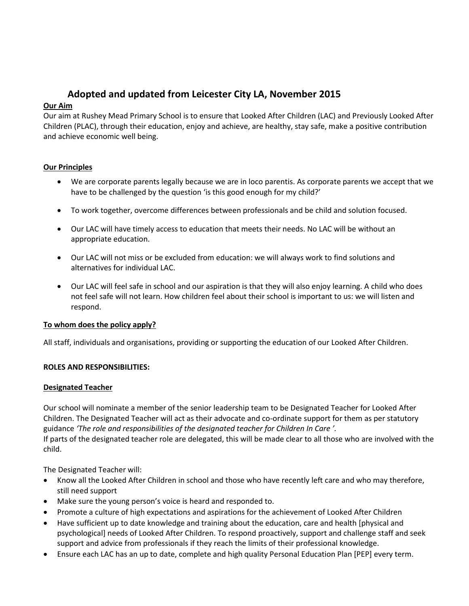# **Adopted and updated from Leicester City LA, November 2015**

# **Our Aim**

Our aim at Rushey Mead Primary School is to ensure that Looked After Children (LAC) and Previously Looked After Children (PLAC), through their education, enjoy and achieve, are healthy, stay safe, make a positive contribution and achieve economic well being.

# **Our Principles**

- We are corporate parents legally because we are in loco parentis. As corporate parents we accept that we have to be challenged by the question 'is this good enough for my child?'
- To work together, overcome differences between professionals and be child and solution focused.
- Our LAC will have timely access to education that meets their needs. No LAC will be without an appropriate education.
- Our LAC will not miss or be excluded from education: we will always work to find solutions and alternatives for individual LAC.
- Our LAC will feel safe in school and our aspiration is that they will also enjoy learning. A child who does not feel safe will not learn. How children feel about their school is important to us: we will listen and respond.

# **To whom does the policy apply?**

All staff, individuals and organisations, providing or supporting the education of our Looked After Children.

# **ROLES AND RESPONSIBILITIES:**

# **Designated Teacher**

Our school will nominate a member of the senior leadership team to be Designated Teacher for Looked After Children. The Designated Teacher will act as their advocate and co-ordinate support for them as per statutory guidance *'The role and responsibilities of the designated teacher for Children In Care '.*

If parts of the designated teacher role are delegated, this will be made clear to all those who are involved with the child.

The Designated Teacher will:

- Know all the Looked After Children in school and those who have recently left care and who may therefore, still need support
- Make sure the young person's voice is heard and responded to.
- Promote a culture of high expectations and aspirations for the achievement of Looked After Children
- Have sufficient up to date knowledge and training about the education, care and health [physical and psychological] needs of Looked After Children. To respond proactively, support and challenge staff and seek support and advice from professionals if they reach the limits of their professional knowledge.
- Ensure each LAC has an up to date, complete and high quality Personal Education Plan [PEP] every term.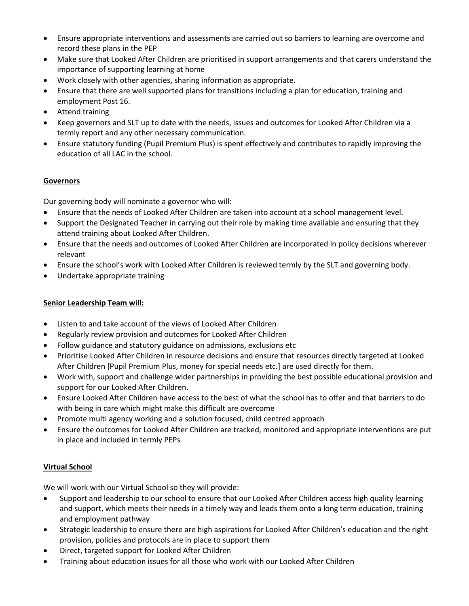- Ensure appropriate interventions and assessments are carried out so barriers to learning are overcome and record these plans in the PEP
- Make sure that Looked After Children are prioritised in support arrangements and that carers understand the importance of supporting learning at home
- Work closely with other agencies, sharing information as appropriate.
- Ensure that there are well supported plans for transitions including a plan for education, training and employment Post 16.
- Attend training
- Keep governors and SLT up to date with the needs, issues and outcomes for Looked After Children via a termly report and any other necessary communication.
- Ensure statutory funding (Pupil Premium Plus) is spent effectively and contributes to rapidly improving the education of all LAC in the school.

# **Governors**

Our governing body will nominate a governor who will:

- Ensure that the needs of Looked After Children are taken into account at a school management level.
- Support the Designated Teacher in carrying out their role by making time available and ensuring that they attend training about Looked After Children.
- Ensure that the needs and outcomes of Looked After Children are incorporated in policy decisions wherever relevant
- Ensure the school's work with Looked After Children is reviewed termly by the SLT and governing body.
- Undertake appropriate training

### **Senior Leadership Team will:**

- Listen to and take account of the views of Looked After Children
- Regularly review provision and outcomes for Looked After Children
- Follow guidance and statutory guidance on admissions, exclusions etc
- Prioritise Looked After Children in resource decisions and ensure that resources directly targeted at Looked After Children [Pupil Premium Plus, money for special needs etc.] are used directly for them.
- Work with, support and challenge wider partnerships in providing the best possible educational provision and support for our Looked After Children.
- Ensure Looked After Children have access to the best of what the school has to offer and that barriers to do with being in care which might make this difficult are overcome
- Promote multi agency working and a solution focused, child centred approach
- Ensure the outcomes for Looked After Children are tracked, monitored and appropriate interventions are put in place and included in termly PEPs

# **Virtual School**

We will work with our Virtual School so they will provide:

- Support and leadership to our school to ensure that our Looked After Children access high quality learning and support, which meets their needs in a timely way and leads them onto a long term education, training and employment pathway
- Strategic leadership to ensure there are high aspirations for Looked After Children's education and the right provision, policies and protocols are in place to support them
- Direct, targeted support for Looked After Children
- Training about education issues for all those who work with our Looked After Children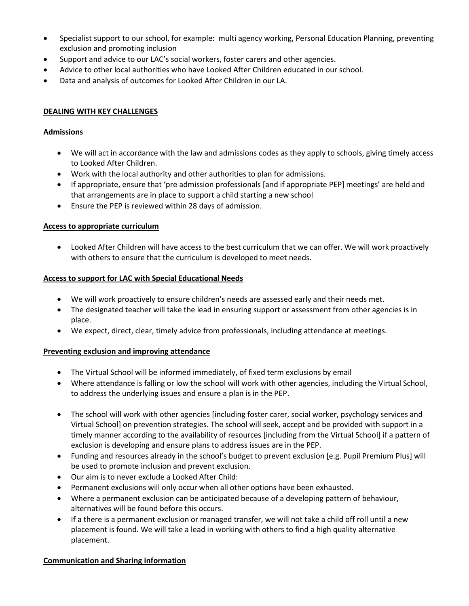- Specialist support to our school, for example: multi agency working, Personal Education Planning, preventing exclusion and promoting inclusion
- Support and advice to our LAC's social workers, foster carers and other agencies.
- Advice to other local authorities who have Looked After Children educated in our school.
- Data and analysis of outcomes for Looked After Children in our LA.

#### **DEALING WITH KEY CHALLENGES**

#### **Admissions**

- We will act in accordance with the law and admissions codes as they apply to schools, giving timely access to Looked After Children.
- Work with the local authority and other authorities to plan for admissions.
- If appropriate, ensure that 'pre admission professionals [and if appropriate PEP] meetings' are held and that arrangements are in place to support a child starting a new school
- Ensure the PEP is reviewed within 28 days of admission.

#### **Access to appropriate curriculum**

 Looked After Children will have access to the best curriculum that we can offer. We will work proactively with others to ensure that the curriculum is developed to meet needs.

#### **Access to support for LAC with Special Educational Needs**

- We will work proactively to ensure children's needs are assessed early and their needs met.
- The designated teacher will take the lead in ensuring support or assessment from other agencies is in place.
- We expect, direct, clear, timely advice from professionals, including attendance at meetings.

#### **Preventing exclusion and improving attendance**

- The Virtual School will be informed immediately, of fixed term exclusions by email
- Where attendance is falling or low the school will work with other agencies, including the Virtual School, to address the underlying issues and ensure a plan is in the PEP.
- The school will work with other agencies [including foster carer, social worker, psychology services and Virtual School] on prevention strategies. The school will seek, accept and be provided with support in a timely manner according to the availability of resources [including from the Virtual School] if a pattern of exclusion is developing and ensure plans to address issues are in the PEP.
- Funding and resources already in the school's budget to prevent exclusion [e.g. Pupil Premium Plus] will be used to promote inclusion and prevent exclusion.
- Our aim is to never exclude a Looked After Child:
- Permanent exclusions will only occur when all other options have been exhausted.
- Where a permanent exclusion can be anticipated because of a developing pattern of behaviour, alternatives will be found before this occurs.
- If a there is a permanent exclusion or managed transfer, we will not take a child off roll until a new placement is found. We will take a lead in working with others to find a high quality alternative placement.

# **Communication and Sharing information**